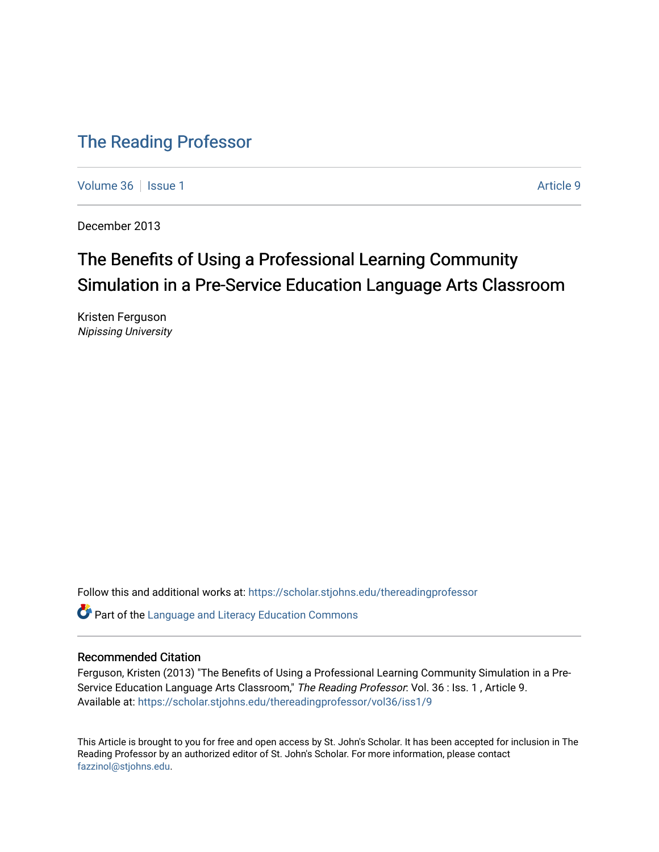### [The Reading Professor](https://scholar.stjohns.edu/thereadingprofessor)

[Volume 36](https://scholar.stjohns.edu/thereadingprofessor/vol36) | [Issue 1](https://scholar.stjohns.edu/thereadingprofessor/vol36/iss1) Article 9

December 2013

## The Benefits of Using a Professional Learning Community Simulation in a Pre-Service Education Language Arts Classroom

Kristen Ferguson Nipissing University

Follow this and additional works at: [https://scholar.stjohns.edu/thereadingprofessor](https://scholar.stjohns.edu/thereadingprofessor?utm_source=scholar.stjohns.edu%2Fthereadingprofessor%2Fvol36%2Fiss1%2F9&utm_medium=PDF&utm_campaign=PDFCoverPages) 

**P** Part of the Language and Literacy Education Commons

#### Recommended Citation

Ferguson, Kristen (2013) "The Benefits of Using a Professional Learning Community Simulation in a Pre-Service Education Language Arts Classroom," The Reading Professor: Vol. 36 : Iss. 1, Article 9. Available at: [https://scholar.stjohns.edu/thereadingprofessor/vol36/iss1/9](https://scholar.stjohns.edu/thereadingprofessor/vol36/iss1/9?utm_source=scholar.stjohns.edu%2Fthereadingprofessor%2Fvol36%2Fiss1%2F9&utm_medium=PDF&utm_campaign=PDFCoverPages) 

This Article is brought to you for free and open access by St. John's Scholar. It has been accepted for inclusion in The Reading Professor by an authorized editor of St. John's Scholar. For more information, please contact [fazzinol@stjohns.edu](mailto:fazzinol@stjohns.edu).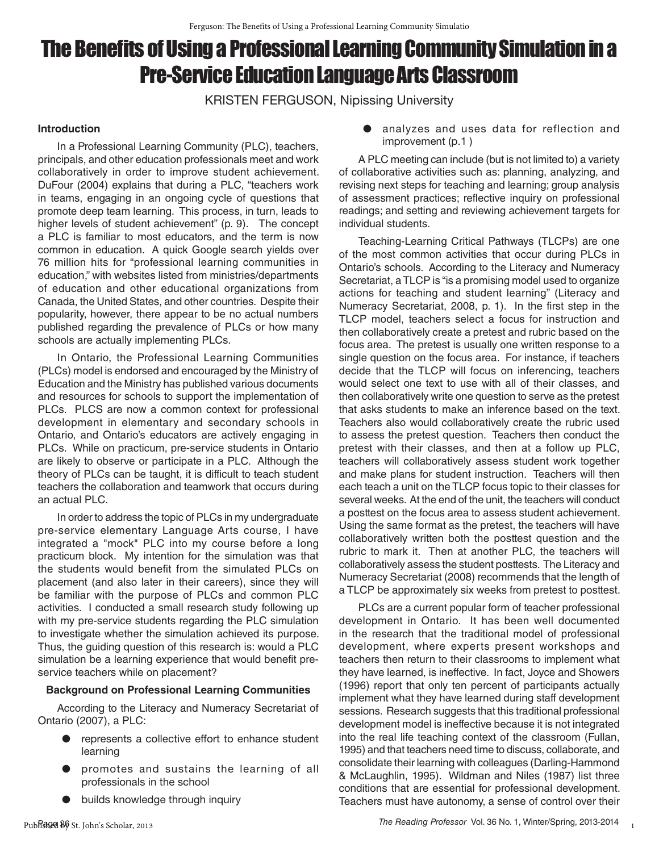# The Benefts of Using a Professional Learning Community Simulation in a Pre-Service Education Language Arts Classroom

KRISTEN FERGUSON, Nipissing University

#### **Introduction**

In a Professional Learning Community (PLC), teachers, principals, and other education professionals meet and work collaboratively in order to improve student achievement. DuFour (2004) explains that during a PLC, "teachers work in teams, engaging in an ongoing cycle of questions that promote deep team learning. This process, in turn, leads to higher levels of student achievement" (p. 9). The concept a PLC is familiar to most educators, and the term is now common in education. A quick Google search yields over 76 million hits for "professional learning communities in education," with websites listed from ministries/departments of education and other educational organizations from Canada, the United States, and other countries. Despite their popularity, however, there appear to be no actual numbers published regarding the prevalence of PLCs or how many schools are actually implementing PLCs.

In Ontario, the Professional Learning Communities (PLCs) model is endorsed and encouraged by the Ministry of Education and the Ministry has published various documents and resources for schools to support the implementation of PLCs. PLCS are now a common context for professional development in elementary and secondary schools in Ontario, and Ontario's educators are actively engaging in PLCs. While on practicum, pre-service students in Ontario are likely to observe or participate in a PLC. Although the theory of PLCs can be taught, it is difficult to teach student teachers the collaboration and teamwork that occurs during an actual PLC.

In order to address the topic of PLCs in my undergraduate pre-service elementary Language Arts course, I have integrated a "mock" PLC into my course before a long practicum block. My intention for the simulation was that the students would benefit from the simulated PLCs on placement (and also later in their careers), since they will be familiar with the purpose of PLCs and common PLC activities. I conducted a small research study following up with my pre-service students regarding the PLC simulation to investigate whether the simulation achieved its purpose. Thus, the guiding question of this research is: would a PLC simulation be a learning experience that would benefit preservice teachers while on placement?

#### **Background on Professional Learning Communities**

According to the Literacy and Numeracy Secretariat of Ontario (2007), a PLC:

- represents a collective effort to enhance student learning
- promotes and sustains the learning of all professionals in the school
- builds knowledge through inquiry

● analyzes and uses data for reflection and improvement (p.1 )

A PLC meeting can include (but is not limited to) a variety of collaborative activities such as: planning, analyzing, and revising next steps for teaching and learning; group analysis of assessment practices; reflective inquiry on professional readings; and setting and reviewing achievement targets for individual students.

Teaching-Learning Critical Pathways (TLCPs) are one of the most common activities that occur during PLCs in Ontario's schools. According to the Literacy and Numeracy Secretariat, a TLCP is "is a promising model used to organize actions for teaching and student learning" (Literacy and Numeracy Secretariat, 2008, p. 1). In the first step in the TLCP model, teachers select a focus for instruction and then collaboratively create a pretest and rubric based on the focus area. The pretest is usually one written response to a single question on the focus area. For instance, if teachers decide that the TLCP will focus on inferencing, teachers would select one text to use with all of their classes, and then collaboratively write one question to serve as the pretest that asks students to make an inference based on the text. Teachers also would collaboratively create the rubric used to assess the pretest question. Teachers then conduct the pretest with their classes, and then at a follow up PLC, teachers will collaboratively assess student work together and make plans for student instruction. Teachers will then each teach a unit on the TLCP focus topic to their classes for several weeks. At the end of the unit, the teachers will conduct a posttest on the focus area to assess student achievement. Using the same format as the pretest, the teachers will have collaboratively written both the posttest question and the rubric to mark it. Then at another PLC, the teachers will collaboratively assess the student posttests. The Literacy and Numeracy Secretariat (2008) recommends that the length of a TLCP be approximately six weeks from pretest to posttest.

PLCs are a current popular form of teacher professional development in Ontario. It has been well documented in the research that the traditional model of professional development, where experts present workshops and teachers then return to their classrooms to implement what they have learned, is ineffective. In fact, Joyce and Showers (1996) report that only ten percent of participants actually implement what they have learned during staff development sessions. Research suggests that this traditional professional development model is ineffective because it is not integrated into the real life teaching context of the classroom (Fullan, 1995) and that teachers need time to discuss, collaborate, and consolidate their learning with colleagues (Darling-Hammond & McLaughlin, 1995). Wildman and Niles (1987) list three conditions that are essential for professional development. Teachers must have autonomy, a sense of control over their

1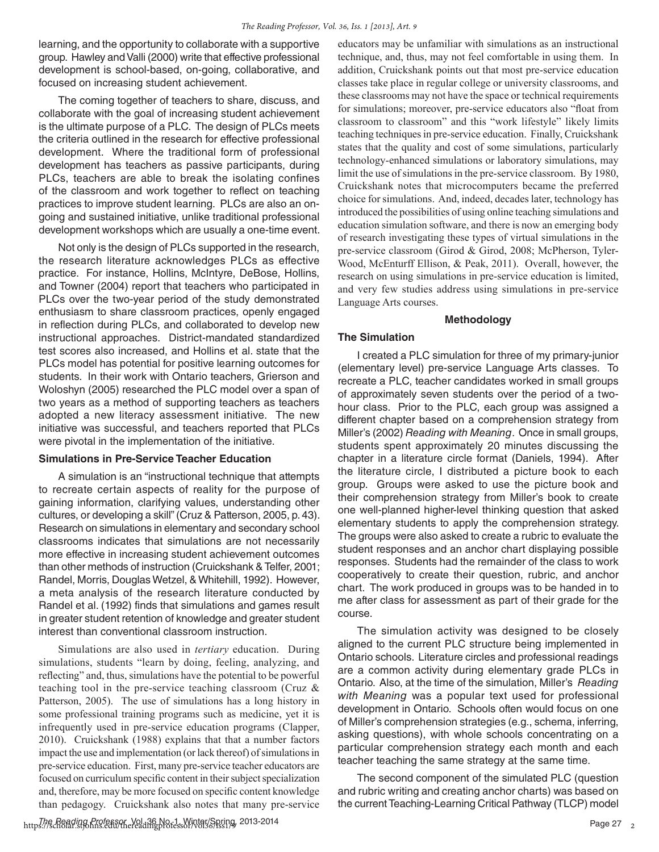learning, and the opportunity to collaborate with a supportive group. Hawley and Valli (2000) write that effective professional development is school-based, on-going, collaborative, and focused on increasing student achievement.

The coming together of teachers to share, discuss, and collaborate with the goal of increasing student achievement is the ultimate purpose of a PLC. The design of PLCs meets the criteria outlined in the research for effective professional development. Where the traditional form of professional development has teachers as passive participants, during PLCs, teachers are able to break the isolating confines of the classroom and work together to reflect on teaching practices to improve student learning. PLCs are also an ongoing and sustained initiative, unlike traditional professional development workshops which are usually a one-time event.

Not only is the design of PLCs supported in the research, the research literature acknowledges PLCs as effective practice. For instance, Hollins, McIntyre, DeBose, Hollins, and Towner (2004) report that teachers who participated in PLCs over the two-year period of the study demonstrated enthusiasm to share classroom practices, openly engaged in reflection during PLCs, and collaborated to develop new instructional approaches. District-mandated standardized test scores also increased, and Hollins et al. state that the PLCs model has potential for positive learning outcomes for students. In their work with Ontario teachers, Grierson and Woloshyn (2005) researched the PLC model over a span of two years as a method of supporting teachers as teachers adopted a new literacy assessment initiative. The new initiative was successful, and teachers reported that PLCs were pivotal in the implementation of the initiative.

#### **Simulations in Pre-Service Teacher Education**

A simulation is an "instructional technique that attempts to recreate certain aspects of reality for the purpose of gaining information, clarifying values, understanding other cultures, or developing a skill" (Cruz & Patterson, 2005, p. 43). Research on simulations in elementary and secondary school classrooms indicates that simulations are not necessarily more effective in increasing student achievement outcomes than other methods of instruction (Cruickshank & Telfer, 2001; Randel, Morris, Douglas Wetzel, & Whitehill, 1992). However, a meta analysis of the research literature conducted by Randel et al. (1992) finds that simulations and games result in greater student retention of knowledge and greater student interest than conventional classroom instruction.

Simulations are also used in *tertiary* education. During simulations, students "learn by doing, feeling, analyzing, and refecting" and, thus, simulations have the potential to be powerful teaching tool in the pre-service teaching classroom (Cruz & Patterson, 2005). The use of simulations has a long history in some professional training programs such as medicine, yet it is infrequently used in pre-service education programs (Clapper, 2010). Cruickshank (1988) explains that that a number factors impact the use and implementation (or lack thereof) of simulations in pre-service education. First, many pre-service teacher educators are focused on curriculum specifc content in their subject specialization and, therefore, may be more focused on specifc content knowledge than pedagogy. Cruickshank also notes that many pre-service

educators may be unfamiliar with simulations as an instructional technique, and, thus, may not feel comfortable in using them. In addition, Cruickshank points out that most pre-service education classes take place in regular college or university classrooms, and these classrooms may not have the space or technical requirements for simulations; moreover, pre-service educators also "foat from classroom to classroom" and this "work lifestyle" likely limits teaching techniques in pre-service education. Finally, Cruickshank states that the quality and cost of some simulations, particularly technology-enhanced simulations or laboratory simulations, may limit the use of simulations in the pre-service classroom. By 1980, Cruickshank notes that microcomputers became the preferred choice for simulations. And, indeed, decades later, technology has introduced the possibilities of using online teaching simulations and education simulation software, and there is now an emerging body of research investigating these types of virtual simulations in the pre-service classroom (Girod & Girod, 2008; McPherson, Tyler-Wood, McEnturff Ellison, & Peak, 2011). Overall, however, the research on using simulations in pre-service education is limited, and very few studies address using simulations in pre-service Language Arts courses.

#### **Methodology**

#### **The Simulation**

I created a PLC simulation for three of my primary-junior (elementary level) pre-service Language Arts classes. To recreate a PLC, teacher candidates worked in small groups of approximately seven students over the period of a twohour class. Prior to the PLC, each group was assigned a different chapter based on a comprehension strategy from Miller's (2002) *Reading with Meaning*. Once in small groups, students spent approximately 20 minutes discussing the chapter in a literature circle format (Daniels, 1994). After the literature circle, I distributed a picture book to each group. Groups were asked to use the picture book and their comprehension strategy from Miller's book to create one well-planned higher-level thinking question that asked elementary students to apply the comprehension strategy. The groups were also asked to create a rubric to evaluate the student responses and an anchor chart displaying possible responses. Students had the remainder of the class to work cooperatively to create their question, rubric, and anchor chart. The work produced in groups was to be handed in to me after class for assessment as part of their grade for the course.

The simulation activity was designed to be closely aligned to the current PLC structure being implemented in Ontario schools. Literature circles and professional readings are a common activity during elementary grade PLCs in Ontario. Also, at the time of the simulation, Miller's *Reading with Meaning* was a popular text used for professional development in Ontario. Schools often would focus on one of Miller's comprehension strategies (e.g., schema, inferring, asking questions), with whole schools concentrating on a particular comprehension strategy each month and each teacher teaching the same strategy at the same time.

The second component of the simulated PLC (question and rubric writing and creating anchor charts) was based on the current Teaching-Learning Critical Pathway (TLCP) model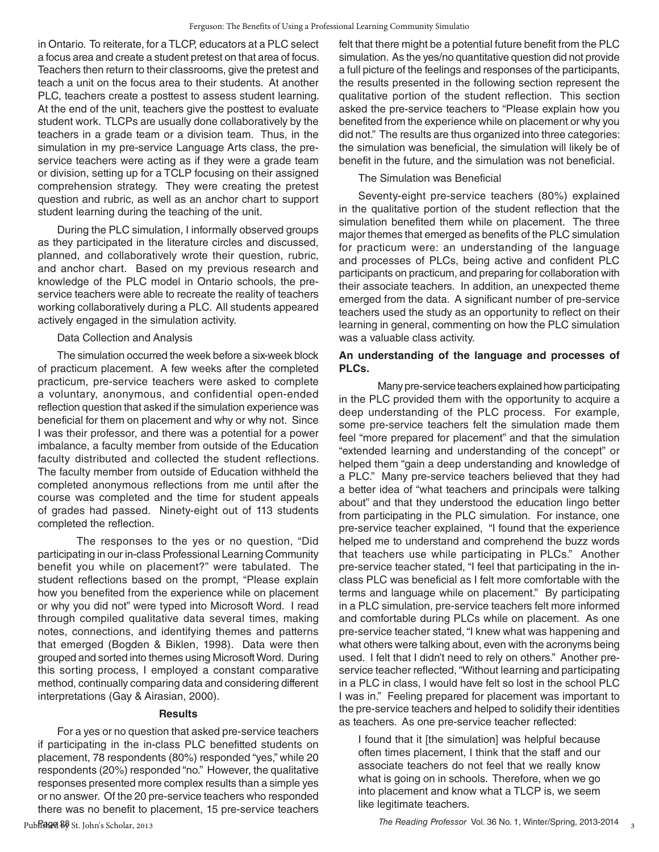in Ontario. To reiterate, for a TLCP, educators at a PLC select a focus area and create a student pretest on that area of focus. Teachers then return to their classrooms, give the pretest and teach a unit on the focus area to their students. At another PLC, teachers create a posttest to assess student learning. At the end of the unit, teachers give the posttest to evaluate student work. TLCPs are usually done collaboratively by the teachers in a grade team or a division team. Thus, in the simulation in my pre-service Language Arts class, the preservice teachers were acting as if they were a grade team or division, setting up for a TCLP focusing on their assigned comprehension strategy. They were creating the pretest question and rubric, as well as an anchor chart to support student learning during the teaching of the unit.

During the PLC simulation, I informally observed groups as they participated in the literature circles and discussed, planned, and collaboratively wrote their question, rubric, and anchor chart. Based on my previous research and knowledge of the PLC model in Ontario schools, the preservice teachers were able to recreate the reality of teachers working collaboratively during a PLC. All students appeared actively engaged in the simulation activity.

#### Data Collection and Analysis

The simulation occurred the week before a six-week block of practicum placement. A few weeks after the completed practicum, pre-service teachers were asked to complete a voluntary, anonymous, and confidential open-ended reflection question that asked if the simulation experience was beneficial for them on placement and why or why not. Since I was their professor, and there was a potential for a power imbalance, a faculty member from outside of the Education faculty distributed and collected the student reflections. The faculty member from outside of Education withheld the completed anonymous reflections from me until after the course was completed and the time for student appeals of grades had passed. Ninety-eight out of 113 students completed the reflection.

The responses to the yes or no question, "Did participating in our in-class Professional Learning Community benefit you while on placement?" were tabulated. The student reflections based on the prompt, "Please explain how you benefited from the experience while on placement or why you did not" were typed into Microsoft Word. I read through compiled qualitative data several times, making notes, connections, and identifying themes and patterns that emerged (Bogden & Biklen, 1998). Data were then grouped and sorted into themes using Microsoft Word. During this sorting process, I employed a constant comparative method, continually comparing data and considering different interpretations (Gay & Airasian, 2000).

#### **Results**

For a yes or no question that asked pre-service teachers if participating in the in-class PLC benefitted students on placement, 78 respondents (80%) responded "yes," while 20 respondents (20%) responded "no." However, the qualitative responses presented more complex results than a simple yes or no answer. Of the 20 pre-service teachers who responded there was no benefit to placement, 15 pre-service teachers felt that there might be a potential future benefit from the PLC simulation. As the yes/no quantitative question did not provide a full picture of the feelings and responses of the participants, the results presented in the following section represent the qualitative portion of the student reflection. This section asked the pre-service teachers to "Please explain how you benefited from the experience while on placement or why you did not." The results are thus organized into three categories: the simulation was beneficial, the simulation will likely be of benefit in the future, and the simulation was not beneficial.

#### The Simulation was Beneficial

Seventy-eight pre-service teachers (80%) explained in the qualitative portion of the student reflection that the simulation benefited them while on placement. The three major themes that emerged as benefits of the PLC simulation for practicum were: an understanding of the language and processes of PLCs, being active and confident PLC participants on practicum, and preparing for collaboration with their associate teachers. In addition, an unexpected theme emerged from the data. A significant number of pre-service teachers used the study as an opportunity to reflect on their learning in general, commenting on how the PLC simulation was a valuable class activity.

#### **An understanding of the language and processes of PLCs.**

Many pre-service teachers explained how participating in the PLC provided them with the opportunity to acquire a deep understanding of the PLC process. For example, some pre-service teachers felt the simulation made them feel "more prepared for placement" and that the simulation "extended learning and understanding of the concept" or helped them "gain a deep understanding and knowledge of a PLC." Many pre-service teachers believed that they had a better idea of "what teachers and principals were talking about" and that they understood the education lingo better from participating in the PLC simulation. For instance, one pre-service teacher explained, "I found that the experience helped me to understand and comprehend the buzz words that teachers use while participating in PLCs." Another pre-service teacher stated, "I feel that participating in the inclass PLC was beneficial as I felt more comfortable with the terms and language while on placement." By participating in a PLC simulation, pre-service teachers felt more informed and comfortable during PLCs while on placement. As one pre-service teacher stated, "I knew what was happening and what others were talking about, even with the acronyms being used. I felt that I didn't need to rely on others." Another preservice teacher reflected, "Without learning and participating in a PLC in class, I would have felt so lost in the school PLC I was in." Feeling prepared for placement was important to the pre-service teachers and helped to solidify their identities as teachers. As one pre-service teacher reflected:

I found that it [the simulation] was helpful because often times placement, I think that the staff and our associate teachers do not feel that we really know what is going on in schools. Therefore, when we go into placement and know what a TLCP is, we seem like legitimate teachers.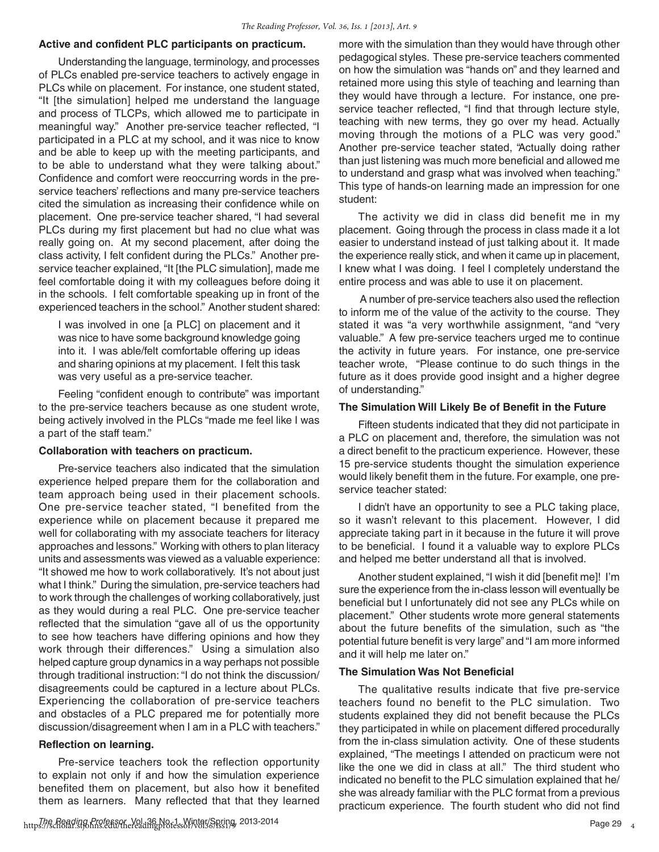#### **Active and confident PLC participants on practicum.**

Understanding the language, terminology, and processes of PLCs enabled pre-service teachers to actively engage in PLCs while on placement. For instance, one student stated, "It [the simulation] helped me understand the language and process of TLCPs, which allowed me to participate in meaningful way." Another pre-service teacher reflected, "I participated in a PLC at my school, and it was nice to know and be able to keep up with the meeting participants, and to be able to understand what they were talking about." Confidence and comfort were reoccurring words in the preservice teachers' reflections and many pre-service teachers cited the simulation as increasing their confidence while on placement. One pre-service teacher shared, "I had several PLCs during my first placement but had no clue what was really going on. At my second placement, after doing the class activity, I felt confident during the PLCs." Another preservice teacher explained, "It [the PLC simulation], made me feel comfortable doing it with my colleagues before doing it in the schools. I felt comfortable speaking up in front of the experienced teachers in the school." Another student shared:

I was involved in one [a PLC] on placement and it was nice to have some background knowledge going into it. I was able/felt comfortable offering up ideas and sharing opinions at my placement. I felt this task was very useful as a pre-service teacher.

Feeling "confident enough to contribute" was important to the pre-service teachers because as one student wrote, being actively involved in the PLCs "made me feel like I was a part of the staff team."

#### **Collaboration with teachers on practicum.**

Pre-service teachers also indicated that the simulation experience helped prepare them for the collaboration and team approach being used in their placement schools. One pre-service teacher stated, "I benefited from the experience while on placement because it prepared me well for collaborating with my associate teachers for literacy approaches and lessons." Working with others to plan literacy units and assessments was viewed as a valuable experience: "It showed me how to work collaboratively. It's not about just what I think." During the simulation, pre-service teachers had to work through the challenges of working collaboratively, just as they would during a real PLC. One pre-service teacher reflected that the simulation "gave all of us the opportunity to see how teachers have differing opinions and how they work through their differences." Using a simulation also helped capture group dynamics in a way perhaps not possible through traditional instruction: "I do not think the discussion/ disagreements could be captured in a lecture about PLCs. Experiencing the collaboration of pre-service teachers and obstacles of a PLC prepared me for potentially more discussion/disagreement when I am in a PLC with teachers."

#### **Reflection on learning.**

Pre-service teachers took the reflection opportunity to explain not only if and how the simulation experience benefited them on placement, but also how it benefited them as learners. Many reflected that that they learned

https://scholar.org/models.com/vol.136.No.1, Winter/Spring, 2013-2014<br>https://scholar.stjohns.edu/thereadingprofessor/vol36/iss19., 2013-2014

more with the simulation than they would have through other pedagogical styles. These pre-service teachers commented on how the simulation was "hands on" and they learned and retained more using this style of teaching and learning than they would have through a lecture. For instance, one preservice teacher reflected, "I find that through lecture style, teaching with new terms, they go over my head. Actually moving through the motions of a PLC was very good." Another pre-service teacher stated, "Actually doing rather than just listening was much more beneficial and allowed me to understand and grasp what was involved when teaching." This type of hands-on learning made an impression for one student:

The activity we did in class did benefit me in my placement. Going through the process in class made it a lot easier to understand instead of just talking about it. It made the experience really stick, and when it came up in placement, I knew what I was doing. I feel I completely understand the entire process and was able to use it on placement.

 A number of pre-service teachers also used the reflection to inform me of the value of the activity to the course. They stated it was "a very worthwhile assignment, "and "very valuable." A few pre-service teachers urged me to continue the activity in future years. For instance, one pre-service teacher wrote, "Please continue to do such things in the future as it does provide good insight and a higher degree of understanding."

#### **The Simulation Will Likely Be of Benefit in the Future**

Fifteen students indicated that they did not participate in a PLC on placement and, therefore, the simulation was not a direct benefit to the practicum experience. However, these 15 pre-service students thought the simulation experience would likely benefit them in the future. For example, one preservice teacher stated:

I didn't have an opportunity to see a PLC taking place, so it wasn't relevant to this placement. However, I did appreciate taking part in it because in the future it will prove to be beneficial. I found it a valuable way to explore PLCs and helped me better understand all that is involved.

Another student explained, "I wish it did [benefit me]! I'm sure the experience from the in-class lesson will eventually be beneficial but I unfortunately did not see any PLCs while on placement." Other students wrote more general statements about the future benefits of the simulation, such as "the potential future benefit is very large" and "I am more informed and it will help me later on."

#### **The Simulation Was Not Beneficial**

The qualitative results indicate that five pre-service teachers found no benefit to the PLC simulation. Two students explained they did not benefit because the PLCs they participated in while on placement differed procedurally from the in-class simulation activity. One of these students explained, "The meetings I attended on practicum were not like the one we did in class at all." The third student who indicated no benefit to the PLC simulation explained that he/ she was already familiar with the PLC format from a previous practicum experience. The fourth student who did not find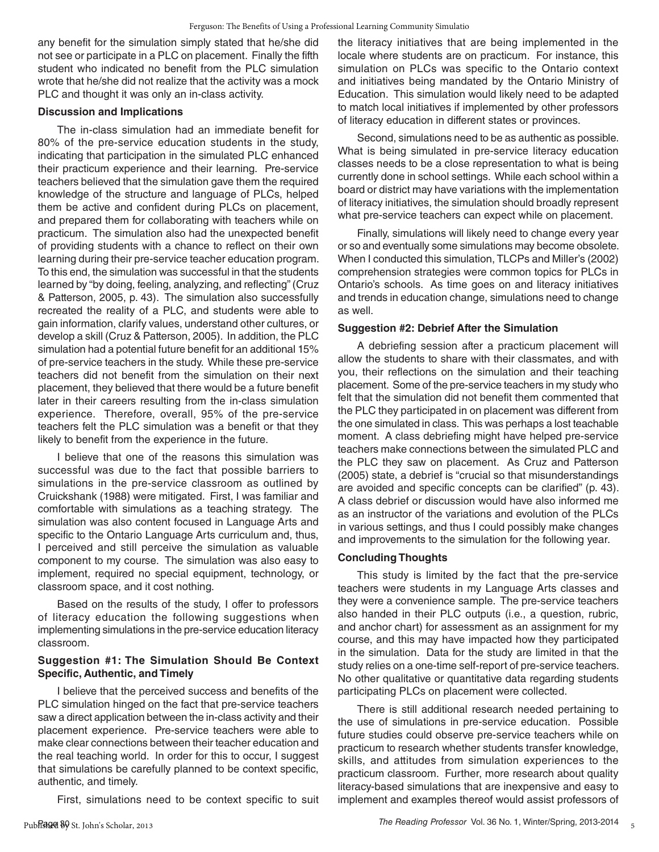any benefit for the simulation simply stated that he/she did not see or participate in a PLC on placement. Finally the fifth student who indicated no benefit from the PLC simulation wrote that he/she did not realize that the activity was a mock PLC and thought it was only an in-class activity.

#### **Discussion and Implications**

The in-class simulation had an immediate benefit for 80% of the pre-service education students in the study, indicating that participation in the simulated PLC enhanced their practicum experience and their learning. Pre-service teachers believed that the simulation gave them the required knowledge of the structure and language of PLCs, helped them be active and confident during PLCs on placement, and prepared them for collaborating with teachers while on practicum. The simulation also had the unexpected benefit of providing students with a chance to reflect on their own learning during their pre-service teacher education program. To this end, the simulation was successful in that the students learned by "by doing, feeling, analyzing, and reflecting" (Cruz & Patterson, 2005, p. 43). The simulation also successfully recreated the reality of a PLC, and students were able to gain information, clarify values, understand other cultures, or develop a skill (Cruz & Patterson, 2005). In addition, the PLC simulation had a potential future benefit for an additional 15% of pre-service teachers in the study. While these pre-service teachers did not benefit from the simulation on their next placement, they believed that there would be a future benefit later in their careers resulting from the in-class simulation experience. Therefore, overall, 95% of the pre-service teachers felt the PLC simulation was a benefit or that they likely to benefit from the experience in the future.

I believe that one of the reasons this simulation was successful was due to the fact that possible barriers to simulations in the pre-service classroom as outlined by Cruickshank (1988) were mitigated. First, I was familiar and comfortable with simulations as a teaching strategy. The simulation was also content focused in Language Arts and specific to the Ontario Language Arts curriculum and, thus, I perceived and still perceive the simulation as valuable component to my course. The simulation was also easy to implement, required no special equipment, technology, or classroom space, and it cost nothing.

Based on the results of the study, I offer to professors of literacy education the following suggestions when implementing simulations in the pre-service education literacy classroom.

#### **Suggestion #1: The Simulation Should Be Context Specific, Authentic, and Timely**

I believe that the perceived success and benefits of the PLC simulation hinged on the fact that pre-service teachers saw a direct application between the in-class activity and their placement experience. Pre-service teachers were able to make clear connections between their teacher education and the real teaching world. In order for this to occur, I suggest that simulations be carefully planned to be context specific, authentic, and timely.

First, simulations need to be context specific to suit

the literacy initiatives that are being implemented in the locale where students are on practicum. For instance, this simulation on PLCs was specific to the Ontario context and initiatives being mandated by the Ontario Ministry of Education. This simulation would likely need to be adapted to match local initiatives if implemented by other professors of literacy education in different states or provinces.

Second, simulations need to be as authentic as possible. What is being simulated in pre-service literacy education classes needs to be a close representation to what is being currently done in school settings. While each school within a board or district may have variations with the implementation of literacy initiatives, the simulation should broadly represent what pre-service teachers can expect while on placement.

Finally, simulations will likely need to change every year or so and eventually some simulations may become obsolete. When I conducted this simulation, TLCPs and Miller's (2002) comprehension strategies were common topics for PLCs in Ontario's schools. As time goes on and literacy initiatives and trends in education change, simulations need to change as well.

#### **Suggestion #2: Debrief After the Simulation**

A debriefing session after a practicum placement will allow the students to share with their classmates, and with you, their reflections on the simulation and their teaching placement. Some of the pre-service teachers in my study who felt that the simulation did not benefit them commented that the PLC they participated in on placement was different from the one simulated in class. This was perhaps a lost teachable moment. A class debriefing might have helped pre-service teachers make connections between the simulated PLC and the PLC they saw on placement. As Cruz and Patterson (2005) state, a debrief is "crucial so that misunderstandings are avoided and specific concepts can be clarified" (p. 43). A class debrief or discussion would have also informed me as an instructor of the variations and evolution of the PLCs in various settings, and thus I could possibly make changes and improvements to the simulation for the following year.

#### **Concluding Thoughts**

This study is limited by the fact that the pre-service teachers were students in my Language Arts classes and they were a convenience sample. The pre-service teachers also handed in their PLC outputs (i.e., a question, rubric, and anchor chart) for assessment as an assignment for my course, and this may have impacted how they participated in the simulation. Data for the study are limited in that the study relies on a one-time self-report of pre-service teachers. No other qualitative or quantitative data regarding students participating PLCs on placement were collected.

There is still additional research needed pertaining to the use of simulations in pre-service education. Possible future studies could observe pre-service teachers while on practicum to research whether students transfer knowledge, skills, and attitudes from simulation experiences to the practicum classroom. Further, more research about quality literacy-based simulations that are inexpensive and easy to implement and examples thereof would assist professors of